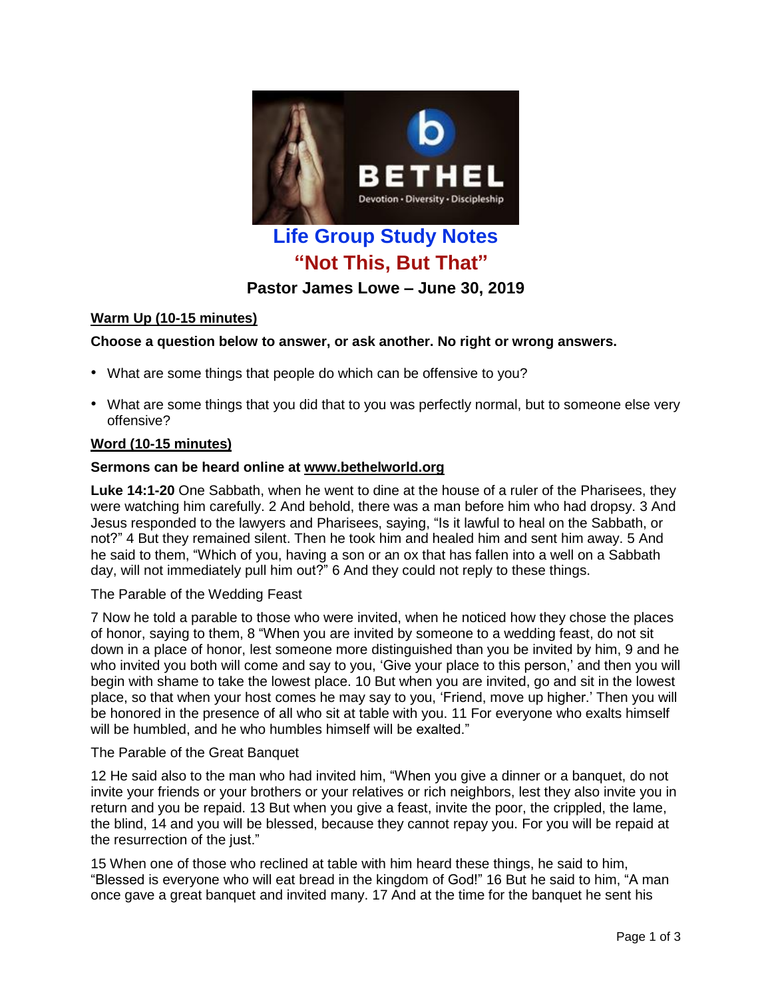

# **Life Group Study Notes "Not This, But That"**

## **Pastor James Lowe – June 30, 2019**

## **Warm Up (10-15 minutes)**

## **Choose a question below to answer, or ask another. No right or wrong answers.**

- What are some things that people do which can be offensive to you?
- What are some things that you did that to you was perfectly normal, but to someone else very offensive?

#### **Word (10-15 minutes)**

#### **Sermons can be heard online at [www.bethelworld.org](http://www.bethelworld.org/)**

**Luke 14:1-20** One Sabbath, when he went to dine at the house of a ruler of the Pharisees, they were watching him carefully. 2 And behold, there was a man before him who had dropsy. 3 And Jesus responded to the lawyers and Pharisees, saying, "Is it lawful to heal on the Sabbath, or not?" 4 But they remained silent. Then he took him and healed him and sent him away. 5 And he said to them, "Which of you, having a son or an ox that has fallen into a well on a Sabbath day, will not immediately pull him out?" 6 And they could not reply to these things.

#### The Parable of the Wedding Feast

7 Now he told a parable to those who were invited, when he noticed how they chose the places of honor, saying to them, 8 "When you are invited by someone to a wedding feast, do not sit down in a place of honor, lest someone more distinguished than you be invited by him, 9 and he who invited you both will come and say to you, 'Give your place to this person,' and then you will begin with shame to take the lowest place. 10 But when you are invited, go and sit in the lowest place, so that when your host comes he may say to you, 'Friend, move up higher.' Then you will be honored in the presence of all who sit at table with you. 11 For everyone who exalts himself will be humbled, and he who humbles himself will be exalted."

#### The Parable of the Great Banquet

12 He said also to the man who had invited him, "When you give a dinner or a banquet, do not invite your friends or your brothers or your relatives or rich neighbors, lest they also invite you in return and you be repaid. 13 But when you give a feast, invite the poor, the crippled, the lame, the blind, 14 and you will be blessed, because they cannot repay you. For you will be repaid at the resurrection of the just."

15 When one of those who reclined at table with him heard these things, he said to him, "Blessed is everyone who will eat bread in the kingdom of God!" 16 But he said to him, "A man once gave a great banquet and invited many. 17 And at the time for the banquet he sent his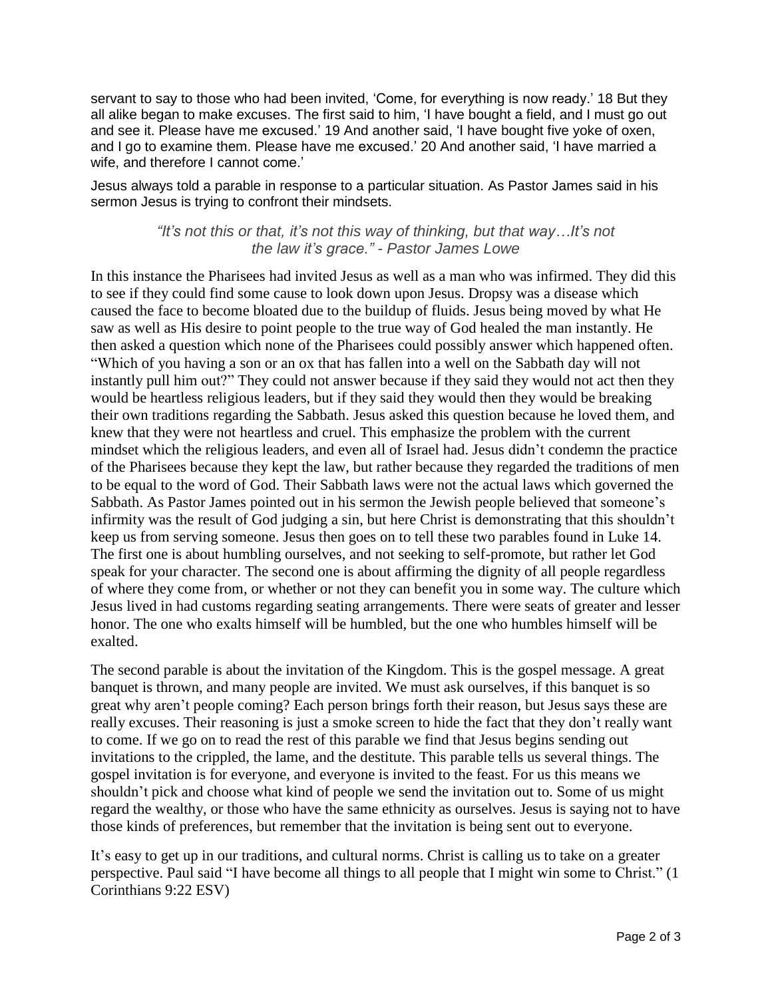servant to say to those who had been invited, 'Come, for everything is now ready.' 18 But they all alike began to make excuses. The first said to him, 'I have bought a field, and I must go out and see it. Please have me excused.' 19 And another said, 'I have bought five yoke of oxen, and I go to examine them. Please have me excused.' 20 And another said, 'I have married a wife, and therefore I cannot come.'

Jesus always told a parable in response to a particular situation. As Pastor James said in his sermon Jesus is trying to confront their mindsets.

> *"It's not this or that, it's not this way of thinking, but that way…It's not the law it's grace." - Pastor James Lowe*

In this instance the Pharisees had invited Jesus as well as a man who was infirmed. They did this to see if they could find some cause to look down upon Jesus. Dropsy was a disease which caused the face to become bloated due to the buildup of fluids. Jesus being moved by what He saw as well as His desire to point people to the true way of God healed the man instantly. He then asked a question which none of the Pharisees could possibly answer which happened often. "Which of you having a son or an ox that has fallen into a well on the Sabbath day will not instantly pull him out?" They could not answer because if they said they would not act then they would be heartless religious leaders, but if they said they would then they would be breaking their own traditions regarding the Sabbath. Jesus asked this question because he loved them, and knew that they were not heartless and cruel. This emphasize the problem with the current mindset which the religious leaders, and even all of Israel had. Jesus didn't condemn the practice of the Pharisees because they kept the law, but rather because they regarded the traditions of men to be equal to the word of God. Their Sabbath laws were not the actual laws which governed the Sabbath. As Pastor James pointed out in his sermon the Jewish people believed that someone's infirmity was the result of God judging a sin, but here Christ is demonstrating that this shouldn't keep us from serving someone. Jesus then goes on to tell these two parables found in Luke 14. The first one is about humbling ourselves, and not seeking to self-promote, but rather let God speak for your character. The second one is about affirming the dignity of all people regardless of where they come from, or whether or not they can benefit you in some way. The culture which Jesus lived in had customs regarding seating arrangements. There were seats of greater and lesser honor. The one who exalts himself will be humbled, but the one who humbles himself will be exalted.

The second parable is about the invitation of the Kingdom. This is the gospel message. A great banquet is thrown, and many people are invited. We must ask ourselves, if this banquet is so great why aren't people coming? Each person brings forth their reason, but Jesus says these are really excuses. Their reasoning is just a smoke screen to hide the fact that they don't really want to come. If we go on to read the rest of this parable we find that Jesus begins sending out invitations to the crippled, the lame, and the destitute. This parable tells us several things. The gospel invitation is for everyone, and everyone is invited to the feast. For us this means we shouldn't pick and choose what kind of people we send the invitation out to. Some of us might regard the wealthy, or those who have the same ethnicity as ourselves. Jesus is saying not to have those kinds of preferences, but remember that the invitation is being sent out to everyone.

It's easy to get up in our traditions, and cultural norms. Christ is calling us to take on a greater perspective. Paul said "I have become all things to all people that I might win some to Christ." (1 Corinthians 9:22 ESV)